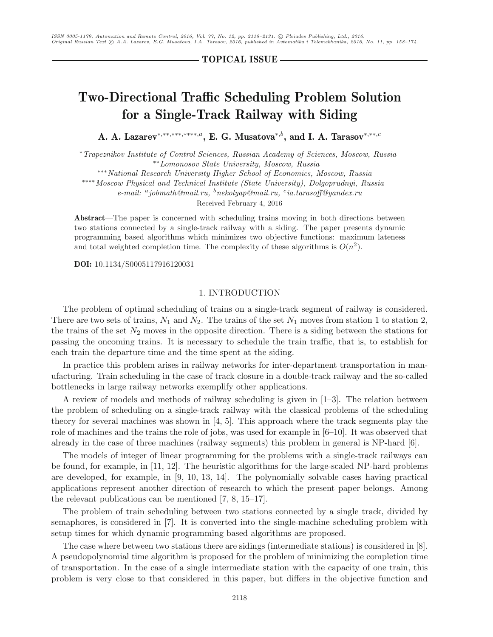**TOPICAL ISSUE**

# **Two-Directional Traffic Scheduling Problem Solution for a Single-Track Railway with Siding**

**A. A. Lazarev**<sup>∗</sup>*,*∗∗*,*∗∗∗*,*∗∗∗∗*,a***, E. G. Musatova**<sup>∗</sup>*,b***, and I. A. Tarasov**<sup>∗</sup>*,*∗∗*,c*

∗*Trapeznikov Institute of Control Sciences, Russian Academy of Sciences, Moscow, Russia* ∗∗*Lomonosov State University, Moscow, Russia*

∗∗∗*National Research University Higher School of Economics, Moscow, Russia*

∗∗∗∗*Moscow Physical and Technical Institute (State University), Dolgoprudnyi, Russia*

*e-mail: <sup>a</sup>jobmath@mail.ru, <sup>b</sup>nekolyap@mail.ru, <sup>c</sup>ia.tarasoff@yandex.ru*

Received February 4, 2016

**Abstract—**The paper is concerned with scheduling trains moving in both directions between two stations connected by a single-track railway with a siding. The paper presents dynamic programming based algorithms which minimizes two objective functions: maximum lateness and total weighted completion time. The complexity of these algorithms is  $O(n^2)$ .

**DOI:** 10.1134/S0005117916120031

# 1. INTRODUCTION

The problem of optimal scheduling of trains on a single-track segment of railway is considered. There are two sets of trains,  $N_1$  and  $N_2$ . The trains of the set  $N_1$  moves from station 1 to station 2, the trains of the set  $N_2$  moves in the opposite direction. There is a siding between the stations for passing the oncoming trains. It is necessary to schedule the train traffic, that is, to establish for each train the departure time and the time spent at the siding.

In practice this problem arises in railway networks for inter-department transportation in manufacturing. Train scheduling in the case of track closure in a double-track railway and the so-called bottlenecks in large railway networks exemplify other applications.

A review of models and methods of railway scheduling is given in [1–3]. The relation between the problem of scheduling on a single-track railway with the classical problems of the scheduling theory for several machines was shown in [4, 5]. This approach where the track segments play the role of machines and the trains the role of jobs, was used for example in  $[6–10]$ . It was observed that already in the case of three machines (railway segments) this problem in general is NP-hard [6].

The models of integer of linear programming for the problems with a single-track railways can be found, for example, in [11, 12]. The heuristic algorithms for the large-scaled NP-hard problems are developed, for example, in [9, 10, 13, 14]. The polynomially solvable cases having practical applications represent another direction of research to which the present paper belongs. Among the relevant publications can be mentioned [7, 8, 15–17].

The problem of train scheduling between two stations connected by a single track, divided by semaphores, is considered in [7]. It is converted into the single-machine scheduling problem with setup times for which dynamic programming based algorithms are proposed.

The case where between two stations there are sidings (intermediate stations) is considered in [8]. A pseudopolynomial time algorithm is proposed for the problem of minimizing the completion time of transportation. In the case of a single intermediate station with the capacity of one train, this problem is very close to that considered in this paper, but differs in the objective function and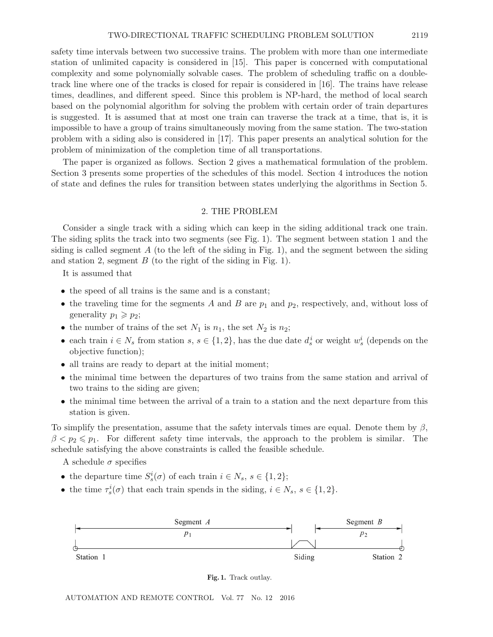safety time intervals between two successive trains. The problem with more than one intermediate station of unlimited capacity is considered in [15]. This paper is concerned with computational complexity and some polynomially solvable cases. The problem of scheduling traffic on a doubletrack line where one of the tracks is closed for repair is considered in [16]. The trains have release times, deadlines, and different speed. Since this problem is NP-hard, the method of local search based on the polynomial algorithm for solving the problem with certain order of train departures is suggested. It is assumed that at most one train can traverse the track at a time, that is, it is impossible to have a group of trains simultaneously moving from the same station. The two-station problem with a siding also is considered in [17]. This paper presents an analytical solution for the problem of minimization of the completion time of all transportations.

The paper is organized as follows. Section 2 gives a mathematical formulation of the problem. Section 3 presents some properties of the schedules of this model. Section 4 introduces the notion of state and defines the rules for transition between states underlying the algorithms in Section 5.

### 2. THE PROBLEM

Consider a single track with a siding which can keep in the siding additional track one train. The siding splits the track into two segments (see Fig. 1). The segment between station 1 and the siding is called segment A (to the left of the siding in Fig. 1), and the segment between the siding and station 2, segment  $B$  (to the right of the siding in Fig. 1).

It is assumed that

- the speed of all trains is the same and is a constant;
- the traveling time for the segments A and B are  $p_1$  and  $p_2$ , respectively, and, without loss of generality  $p_1 \geqslant p_2$ ;
- the number of trains of the set  $N_1$  is  $n_1$ , the set  $N_2$  is  $n_2$ ;
- each train  $i \in N_s$  from station  $s, s \in \{1, 2\}$ , has the due date  $d_s^i$  or weight  $w_s^i$  (depends on the objective function);
- all trains are ready to depart at the initial moment;
- the minimal time between the departures of two trains from the same station and arrival of two trains to the siding are given;
- the minimal time between the arrival of a train to a station and the next departure from this station is given.

To simplify the presentation, assume that the safety intervals times are equal. Denote them by  $\beta$ ,  $\beta < p_2 \leq p_1$ . For different safety time intervals, the approach to the problem is similar. The schedule satisfying the above constraints is called the feasible schedule.

A schedule  $\sigma$  specifies

- the departure time  $S_s^i(\sigma)$  of each train  $i \in N_s$ ,  $s \in \{1, 2\}$ ;
- the time  $\tau_s^i(\sigma)$  that each train spends in the siding,  $i \in N_s$ ,  $s \in \{1,2\}$ .



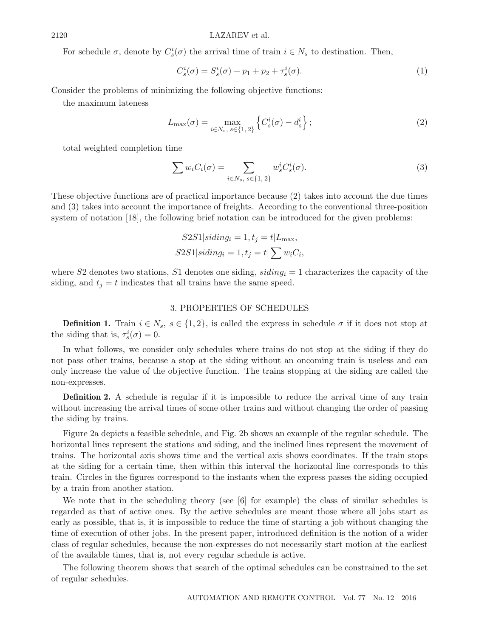#### 2120 LAZAREV et al.

For schedule  $\sigma$ , denote by  $C_s^i(\sigma)$  the arrival time of train  $i \in N_s$  to destination. Then,

$$
C_s^i(\sigma) = S_s^i(\sigma) + p_1 + p_2 + \tau_s^i(\sigma).
$$
 (1)

Consider the problems of minimizing the following objective functions:

the maximum lateness

$$
L_{\max}(\sigma) = \max_{i \in N_s, s \in \{1, 2\}} \left\{ C_s^i(\sigma) - d_s^i \right\};\tag{2}
$$

total weighted completion time

$$
\sum w_i C_i(\sigma) = \sum_{i \in N_s, s \in \{1, 2\}} w_s^i C_s^i(\sigma).
$$
\n(3)

These objective functions are of practical importance because (2) takes into account the due times and (3) takes into account the importance of freights. According to the conventional three-position system of notation [18], the following brief notation can be introduced for the given problems:

$$
S2S1|siding_i = 1, t_j = t|L_{\text{max}},
$$
  

$$
S2S1|siding_i = 1, t_j = t| \sum w_i C_i,
$$

where S2 denotes two stations, S1 denotes one siding, siding*<sup>i</sup>* = 1 characterizes the capacity of the siding, and  $t_j = t$  indicates that all trains have the same speed.

### 3. PROPERTIES OF SCHEDULES

**Definition 1.** Train  $i \in N_s$ ,  $s \in \{1,2\}$ , is called the express in schedule  $\sigma$  if it does not stop at the siding that is,  $\tau_s^i(\sigma) = 0$ .

In what follows, we consider only schedules where trains do not stop at the siding if they do not pass other trains, because a stop at the siding without an oncoming train is useless and can only increase the value of the objective function. The trains stopping at the siding are called the non-expresses.

**Definition 2.** A schedule is regular if it is impossible to reduce the arrival time of any train without increasing the arrival times of some other trains and without changing the order of passing the siding by trains.

Figure 2a depicts a feasible schedule, and Fig. 2b shows an example of the regular schedule. The horizontal lines represent the stations and siding, and the inclined lines represent the movement of trains. The horizontal axis shows time and the vertical axis shows coordinates. If the train stops at the siding for a certain time, then within this interval the horizontal line corresponds to this train. Circles in the figures correspond to the instants when the express passes the siding occupied by a train from another station.

We note that in the scheduling theory (see [6] for example) the class of similar schedules is regarded as that of active ones. By the active schedules are meant those where all jobs start as early as possible, that is, it is impossible to reduce the time of starting a job without changing the time of execution of other jobs. In the present paper, introduced definition is the notion of a wider class of regular schedules, because the non-expresses do not necessarily start motion at the earliest of the available times, that is, not every regular schedule is active.

The following theorem shows that search of the optimal schedules can be constrained to the set of regular schedules.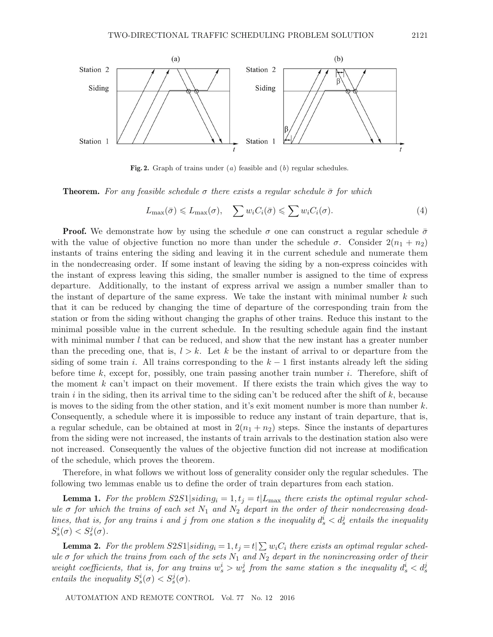

**Fig. 2.** Graph of trains under (*a*) feasible and (*b*) regular schedules.

**Theorem.** For any feasible schedule  $\sigma$  there exists a regular schedule  $\bar{\sigma}$  for which

$$
L_{\max}(\bar{\sigma}) \leq L_{\max}(\sigma), \quad \sum w_i C_i(\bar{\sigma}) \leq \sum w_i C_i(\sigma). \tag{4}
$$

**Proof.** We demonstrate how by using the schedule  $\sigma$  one can construct a regular schedule  $\bar{\sigma}$ with the value of objective function no more than under the schedule  $\sigma$ . Consider  $2(n_1 + n_2)$ instants of trains entering the siding and leaving it in the current schedule and numerate them in the nondecreasing order. If some instant of leaving the siding by a non-express coincides with the instant of express leaving this siding, the smaller number is assigned to the time of express departure. Additionally, to the instant of express arrival we assign a number smaller than to the instant of departure of the same express. We take the instant with minimal number  $k$  such that it can be reduced by changing the time of departure of the corresponding train from the station or from the siding without changing the graphs of other trains. Reduce this instant to the minimal possible value in the current schedule. In the resulting schedule again find the instant with minimal number  $l$  that can be reduced, and show that the new instant has a greater number than the preceding one, that is,  $l>k$ . Let k be the instant of arrival to or departure from the siding of some train i. All trains corresponding to the  $k-1$  first instants already left the siding before time k, except for, possibly, one train passing another train number i. Therefore, shift of the moment  $k$  can't impact on their movement. If there exists the train which gives the way to train i in the siding, then its arrival time to the siding can't be reduced after the shift of  $k$ , because is moves to the siding from the other station, and it's exit moment number is more than number  $k$ . Consequently, a schedule where it is impossible to reduce any instant of train departure, that is, a regular schedule, can be obtained at most in  $2(n_1 + n_2)$  steps. Since the instants of departures from the siding were not increased, the instants of train arrivals to the destination station also were not increased. Consequently the values of the objective function did not increase at modification of the schedule, which proves the theorem.

Therefore, in what follows we without loss of generality consider only the regular schedules. The following two lemmas enable us to define the order of train departures from each station.

**Lemma 1.** For the problem  $S2S1|siding_i = 1, t_j = t|L_{\text{max}}$  there exists the optimal regular sched $u$ le  $\sigma$  for which the trains of each set  $N_1$  and  $N_2$  depart in the order of their nondecreasing dead*lines, that is, for any trains i* and *j from one station s the inequality*  $d_s^i < d_s^j$  *entails the inequality*  $S_s^i(\sigma) < S_s^j(\sigma)$ .

**Lemma 2.** For the problem  $S2S1|siding_i = 1, t_j = t | \sum w_i C_i$  there exists an optimal regular sched*ule*  $\sigma$  *for which the trains from each of the sets*  $N_1$  *and*  $N_2$  *depart in the nonincreasing order of their weight coefficients, that is, for any trains*  $w_s^i > w_s^j$  *from the same station* s the inequality  $d_s^i < d_s^j$ *entails the inequality*  $S_s^i(\sigma) < S_s^j(\sigma)$ .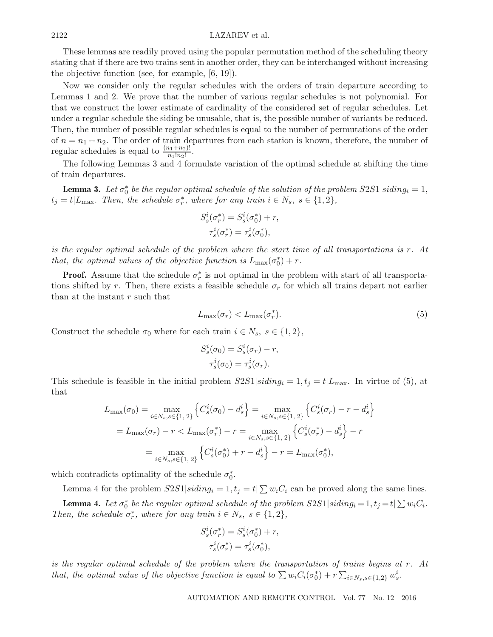These lemmas are readily proved using the popular permutation method of the scheduling theory stating that if there are two trains sent in another order, they can be interchanged without increasing the objective function (see, for example, [6, 19]).

Now we consider only the regular schedules with the orders of train departure according to Lemmas 1 and 2. We prove that the number of various regular schedules is not polynomial. For that we construct the lower estimate of cardinality of the considered set of regular schedules. Let under a regular schedule the siding be unusable, that is, the possible number of variants be reduced. Then, the number of possible regular schedules is equal to the number of permutations of the order of  $n = n_1 + n_2$ . The order of train departures from each station is known, therefore, the number of regular schedules is equal to  $\frac{(n_1+n_2)!}{n_1!n_2!}$ .

The following Lemmas 3 and 4 formulate variation of the optimal schedule at shifting the time of train departures.

**Lemma 3.** Let  $\sigma_0^*$  be the regular optimal schedule of the solution of the problem  $S2S1|siding_i = 1$ ,  $t_j = t | L_{\text{max}}$ . Then, the schedule  $\sigma_r^*$ , where for any train  $i \in N_s$ ,  $s \in \{1, 2\}$ ,

$$
S_s^i(\sigma_r^*) = S_s^i(\sigma_0^*) + r,
$$
  

$$
\tau_s^i(\sigma_r^*) = \tau_s^i(\sigma_0^*),
$$

*is the regular optimal schedule of the problem where the start time of all transportations is* r*. At that, the optimal values of the objective function is*  $L_{\text{max}}(\sigma_0^*) + r$ .

**Proof.** Assume that the schedule  $\sigma_r^*$  is not optimal in the problem with start of all transportations shifted by r. Then, there exists a feasible schedule  $\sigma_r$  for which all trains depart not earlier than at the instant  $r$  such that

$$
L_{\max}(\sigma_r) < L_{\max}(\sigma_r^*). \tag{5}
$$

Construct the schedule  $\sigma_0$  where for each train  $i \in N_s$ ,  $s \in \{1,2\}$ ,

$$
S_s^i(\sigma_0) = S_s^i(\sigma_r) - r,
$$
  
\n
$$
\tau_s^i(\sigma_0) = \tau_s^i(\sigma_r).
$$

This schedule is feasible in the initial problem  $S2S1|siding_i = 1, t_j = t|L_{\text{max}}$ . In virtue of (5), at that

$$
L_{\max}(\sigma_0) = \max_{i \in N_s, s \in \{1, 2\}} \left\{ C_s^i(\sigma_0) - d_s^i \right\} = \max_{i \in N_s, s \in \{1, 2\}} \left\{ C_s^i(\sigma_r) - r - d_s^i \right\}
$$
  
=  $L_{\max}(\sigma_r) - r < L_{\max}(\sigma_r^*) - r = \max_{i \in N_s, s \in \{1, 2\}} \left\{ C_s^i(\sigma_r^*) - d_s^i \right\} - r$   
=  $\max_{i \in N_s, s \in \{1, 2\}} \left\{ C_s^i(\sigma_0^*) + r - d_s^i \right\} - r = L_{\max}(\sigma_0^*),$ 

which contradicts optimality of the schedule  $\sigma_0^*$ .

Lemma 4 for the problem  $S2S1|siding_i = 1, t_j = t | \sum w_i C_i$  can be proved along the same lines.

**Lemma 4.** Let  $\sigma_0^*$  be the regular optimal schedule of the problem  $S2S1|siding_i = 1, t_j = t | \sum w_i C_i$ . *Then, the schedule*  $\sigma_r^*$ *, where for any train*  $i \in N_s$ *,*  $s \in \{1, 2\}$ *,* 

$$
S_s^i(\sigma_r^*) = S_s^i(\sigma_0^*) + r,
$$
  

$$
\tau_s^i(\sigma_r^*) = \tau_s^i(\sigma_0^*),
$$

*is the regular optimal schedule of the problem where the transportation of trains begins at* r*. At that, the optimal value of the objective function is equal to*  $\sum w_i C_i(\sigma_0^*) + r \sum_{i \in N_s, s \in \{1,2\}} w_s^i$ .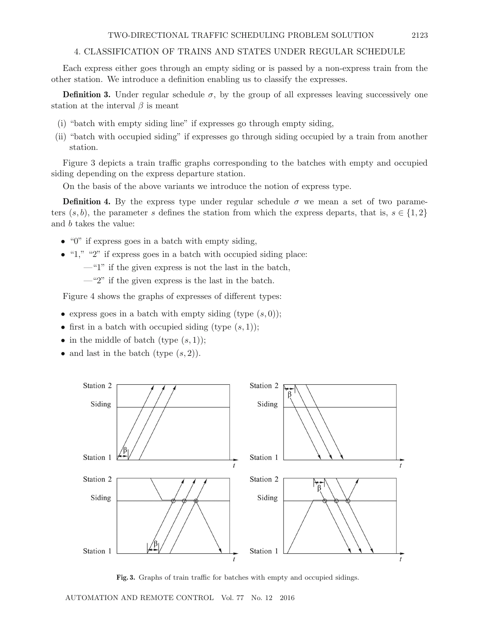# 4. CLASSIFICATION OF TRAINS AND STATES UNDER REGULAR SCHEDULE

Each express either goes through an empty siding or is passed by a non-express train from the other station. We introduce a definition enabling us to classify the expresses.

**Definition 3.** Under regular schedule  $\sigma$ , by the group of all expresses leaving successively one station at the interval  $\beta$  is meant

- (i) "batch with empty siding line" if expresses go through empty siding,
- (ii) "batch with occupied siding" if expresses go through siding occupied by a train from another station.

Figure 3 depicts a train traffic graphs corresponding to the batches with empty and occupied siding depending on the express departure station.

On the basis of the above variants we introduce the notion of express type.

**Definition 4.** By the express type under regular schedule  $\sigma$  we mean a set of two parameters  $(s, b)$ , the parameter s defines the station from which the express departs, that is,  $s \in \{1, 2\}$ and b takes the value:

- "0" if express goes in a batch with empty siding,
- $\bullet$  "1," "2" if express goes in a batch with occupied siding place:
	- $-$ "1" if the given express is not the last in the batch,
	- $-$ "2" if the given express is the last in the batch.

Figure 4 shows the graphs of expresses of different types:

- express goes in a batch with empty siding (type  $(s, 0)$ );
- first in a batch with occupied siding (type  $(s, 1)$ );
- in the middle of batch (type  $(s, 1)$ );
- and last in the batch (type  $(s, 2)$ ).



**Fig. 3.** Graphs of train traffic for batches with empty and occupied sidings.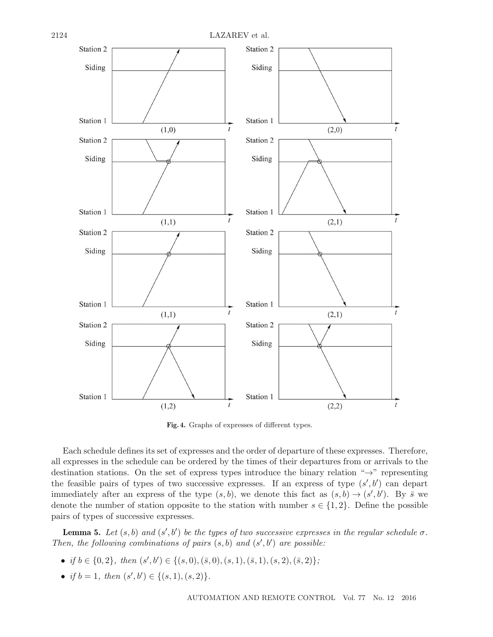

**Fig. 4.** Graphs of expresses of different types.

Each schedule defines its set of expresses and the order of departure of these expresses. Therefore, all expresses in the schedule can be ordered by the times of their departures from or arrivals to the destination stations. On the set of express types introduce the binary relation "→" representing the feasible pairs of types of two successive expresses. If an express of type  $(s', b')$  can depart immediately after an express of the type  $(s, b)$ , we denote this fact as  $(s, b) \rightarrow (s', b')$ . By  $\bar{s}$  we denote the number of station opposite to the station with number  $s \in \{1,2\}$ . Define the possible pairs of types of successive expresses.

**Lemma 5.** Let  $(s, b)$  and  $(s', b')$  be the types of two successive expresses in the regular schedule  $\sigma$ . Then, the following combinations of pairs  $(s, b)$  and  $(s', b')$  are possible:

- *if*  $b \in \{0, 2\}$ , then  $(s', b') \in \{(s, 0), (\bar{s}, 0), (s, 1), (\bar{s}, 1), (s, 2), (\bar{s}, 2)\}$ ;
- *if*  $b = 1$ *, then*  $(s', b') \in \{(s, 1), (s, 2)\}.$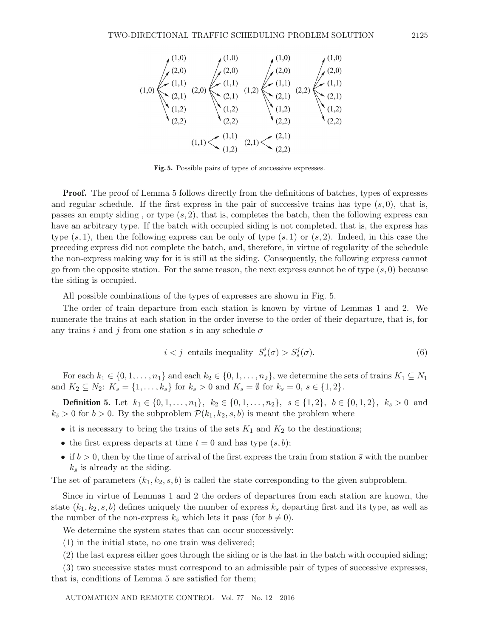

**Fig. 5.** Possible pairs of types of successive expresses.

**Proof.** The proof of Lemma 5 follows directly from the definitions of batches, types of expresses and regular schedule. If the first express in the pair of successive trains has type  $(s, 0)$ , that is, passes an empty siding, or type  $(s, 2)$ , that is, completes the batch, then the following express can have an arbitrary type. If the batch with occupied siding is not completed, that is, the express has type  $(s, 1)$ , then the following express can be only of type  $(s, 1)$  or  $(s, 2)$ . Indeed, in this case the preceding express did not complete the batch, and, therefore, in virtue of regularity of the schedule the non-express making way for it is still at the siding. Consequently, the following express cannot go from the opposite station. For the same reason, the next express cannot be of type  $(s, 0)$  because the siding is occupied.

All possible combinations of the types of expresses are shown in Fig. 5.

The order of train departure from each station is known by virtue of Lemmas 1 and 2. We numerate the trains at each station in the order inverse to the order of their departure, that is, for any trains i and j from one station s in any schedule  $\sigma$ 

$$
i < j \text{ entails inequality } S_s^i(\sigma) > S_s^j(\sigma). \tag{6}
$$

For each  $k_1 \in \{0, 1, \ldots, n_1\}$  and each  $k_2 \in \{0, 1, \ldots, n_2\}$ , we determine the sets of trains  $K_1 \subseteq N_1$ and  $K_2 \subseteq N_2$ :  $K_s = \{1, ..., k_s\}$  for  $k_s > 0$  and  $K_s = \emptyset$  for  $k_s = 0, s \in \{1, 2\}$ .

**Definition 5.** Let  $k_1 \in \{0, 1, ..., n_1\}$ ,  $k_2 \in \{0, 1, ..., n_2\}$ ,  $s \in \{1, 2\}$ ,  $b \in \{0, 1, 2\}$ ,  $k_s > 0$  and  $k_{\bar{s}} > 0$  for  $b > 0$ . By the subproblem  $\mathcal{P}(k_1, k_2, s, b)$  is meant the problem where

- it is necessary to bring the trains of the sets  $K_1$  and  $K_2$  to the destinations;
- the first express departs at time  $t = 0$  and has type  $(s, b)$ ;
- if  $b > 0$ , then by the time of arrival of the first express the train from station  $\bar{s}$  with the number  $k_{\bar{s}}$  is already at the siding.

The set of parameters  $(k_1, k_2, s, b)$  is called the state corresponding to the given subproblem.

Since in virtue of Lemmas 1 and 2 the orders of departures from each station are known, the state  $(k_1, k_2, s, b)$  defines uniquely the number of express  $k_s$  departing first and its type, as well as the number of the non-express  $k_{\bar{s}}$  which lets it pass (for  $b \neq 0$ ).

We determine the system states that can occur successively:

(1) in the initial state, no one train was delivered;

(2) the last express either goes through the siding or is the last in the batch with occupied siding;

(3) two successive states must correspond to an admissible pair of types of successive expresses, that is, conditions of Lemma 5 are satisfied for them;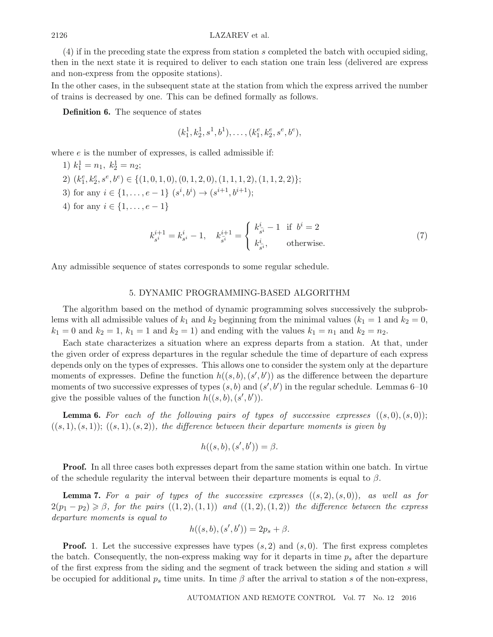(4) if in the preceding state the express from station s completed the batch with occupied siding, then in the next state it is required to deliver to each station one train less (delivered are express and non-express from the opposite stations).

In the other cases, in the subsequent state at the station from which the express arrived the number of trains is decreased by one. This can be defined formally as follows.

**Definition 6.** The sequence of states

$$
(k_1^1, k_2^1, s^1, b^1), \ldots, (k_1^e, k_2^e, s^e, b^e),
$$

where  $e$  is the number of expresses, is called admissible if:

1) 
$$
k_1^1 = n_1, k_2^1 = n_2;
$$
  
\n2)  $(k_1^e, k_2^e, s^e, b^e) \in \{(1, 0, 1, 0), (0, 1, 2, 0), (1, 1, 1, 2), (1, 1, 2, 2)\};$   
\n3) for any  $i \in \{1, ..., e - 1\}$   $(s^i, b^i) \rightarrow (s^{i+1}, b^{i+1});$   
\n4) for any  $i \in \{1, ..., e - 1\}$ 

$$
k_{s^{i}}^{i+1} = k_{s^{i}}^{i} - 1, \quad k_{s^{i}}^{i+1} = \begin{cases} k_{s^{i}}^{i} - 1 & \text{if } b^{i} = 2\\ k_{s^{i}}^{i}, & \text{otherwise.} \end{cases}
$$
 (7)

Any admissible sequence of states corresponds to some regular schedule.

## 5. DYNAMIC PROGRAMMING-BASED ALGORITHM

The algorithm based on the method of dynamic programming solves successively the subproblems with all admissible values of  $k_1$  and  $k_2$  beginning from the minimal values  $(k_1 = 1 \text{ and } k_2 = 0,$  $k_1 = 0$  and  $k_2 = 1$ ,  $k_1 = 1$  and  $k_2 = 1$ ) and ending with the values  $k_1 = n_1$  and  $k_2 = n_2$ .

Each state characterizes a situation where an express departs from a station. At that, under the given order of express departures in the regular schedule the time of departure of each express depends only on the types of expresses. This allows one to consider the system only at the departure moments of expresses. Define the function  $h((s, b), (s', b'))$  as the difference between the departure moments of two successive expresses of types  $(s, b)$  and  $(s', b')$  in the regular schedule. Lemmas 6–10 give the possible values of the function  $h((s,b),(s',b'))$ .

**Lemma 6.** For each of the following pairs of types of successive expresses  $((s, 0), (s, 0))$ ;  $((s, 1), (s, 1))$ ;  $((s, 1), (s, 2))$ *, the difference between their departure moments is given by* 

$$
h((s,b),(s',b')) = \beta.
$$

**Proof.** In all three cases both expresses depart from the same station within one batch. In virtue of the schedule regularity the interval between their departure moments is equal to  $\beta$ .

**Lemma 7.** For a pair of types of the successive expresses  $((s, 2), (s, 0))$ *, as well as for*  $2(p_1-p_2) \geqslant \beta$ , for the pairs  $((1,2),(1,1))$  and  $((1,2),(1,2))$  the difference between the express *departure moments is equal to*

$$
h((s, b), (s', b')) = 2p_s + \beta.
$$

**Proof.** 1. Let the successive expresses have types  $(s, 2)$  and  $(s, 0)$ . The first express completes the batch. Consequently, the non-express making way for it departs in time p*<sup>s</sup>* after the departure of the first express from the siding and the segment of track between the siding and station s will be occupied for additional  $p_s$  time units. In time  $\beta$  after the arrival to station s of the non-express,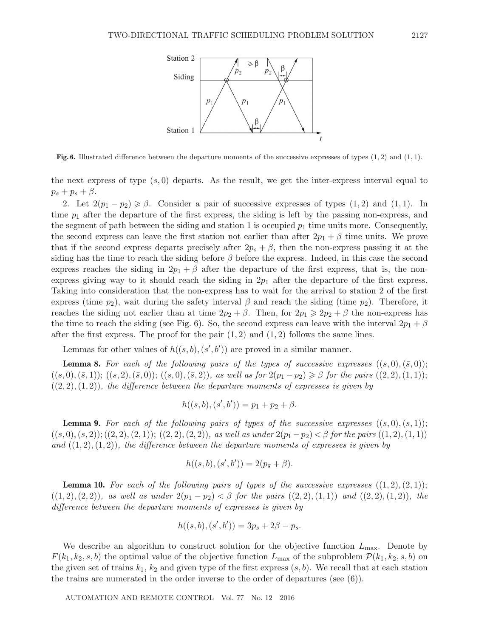

**Fig. 6.** Illustrated difference between the departure moments of the successive expresses of types (1*,* 2) and (1*,* 1).

the next express of type  $(s, 0)$  departs. As the result, we get the inter-express interval equal to  $p_s + p_s + \beta$ .

2. Let  $2(p_1 - p_2) \ge \beta$ . Consider a pair of successive expresses of types  $(1, 2)$  and  $(1, 1)$ . In time  $p_1$  after the departure of the first express, the siding is left by the passing non-express, and the segment of path between the siding and station 1 is occupied  $p_1$  time units more. Consequently, the second express can leave the first station not earlier than after  $2p_1 + \beta$  time units. We prove that if the second express departs precisely after  $2p_s + \beta$ , then the non-express passing it at the siding has the time to reach the siding before  $\beta$  before the express. Indeed, in this case the second express reaches the siding in  $2p_1 + \beta$  after the departure of the first express, that is, the nonexpress giving way to it should reach the siding in  $2p_1$  after the departure of the first express. Taking into consideration that the non-express has to wait for the arrival to station 2 of the first express (time  $p_2$ ), wait during the safety interval  $\beta$  and reach the siding (time  $p_2$ ). Therefore, it reaches the siding not earlier than at time  $2p_2 + \beta$ . Then, for  $2p_1 \geq 2p_2 + \beta$  the non-express has the time to reach the siding (see Fig. 6). So, the second express can leave with the interval  $2p_1 + \beta$ after the first express. The proof for the pair  $(1, 2)$  and  $(1, 2)$  follows the same lines.

Lemmas for other values of  $h((s, b), (s', b'))$  are proved in a similar manner.

**Lemma 8.** For each of the following pairs of the types of successive expresses  $((s, 0), (\bar{s}, 0))$ ;  $((s, 0), (\bar{s}, 1)); ((s, 2), (\bar{s}, 0)); ((s, 0), (\bar{s}, 2)),$  as well as for  $2(p_1-p_2) \geq \beta$  for the pairs  $((2, 2), (1, 1));$  $((2, 2), (1, 2))$ *, the difference between the departure moments of expresses is given by* 

$$
h((s,b),(s',b')) = p_1 + p_2 + \beta.
$$

**Lemma 9.** For each of the following pairs of types of the successive expresses  $((s, 0), (s, 1))$ ;  $((s, 0), (s, 2)); ((2, 2), (2, 1)); ((2, 2), (2, 2)),$  as well as under  $2(p_1-p_2) < \beta$  for the pairs  $((1, 2), (1, 1))$ and  $((1, 2), (1, 2))$ *, the difference between the departure moments of expresses is given by* 

$$
h((s,b),(s',b')) = 2(p_{\bar{s}} + \beta).
$$

**Lemma 10.** For each of the following pairs of types of the successive expresses  $((1, 2), (2, 1))$ ;  $((1, 2), (2, 2)),$  as well as under  $2(p_1 - p_2) < \beta$  for the pairs  $((2, 2), (1, 1))$  and  $((2, 2), (1, 2)),$  the *difference between the departure moments of expresses is given by*

$$
h((s,b),(s',b')) = 3p_s + 2\beta - p_{\bar{s}}.
$$

We describe an algorithm to construct solution for the objective function  $L_{\text{max}}$ . Denote by  $F(k_1, k_2, s, b)$  the optimal value of the objective function  $L_{\text{max}}$  of the subproblem  $\mathcal{P}(k_1, k_2, s, b)$  on the given set of trains  $k_1$ ,  $k_2$  and given type of the first express  $(s, b)$ . We recall that at each station the trains are numerated in the order inverse to the order of departures (see (6)).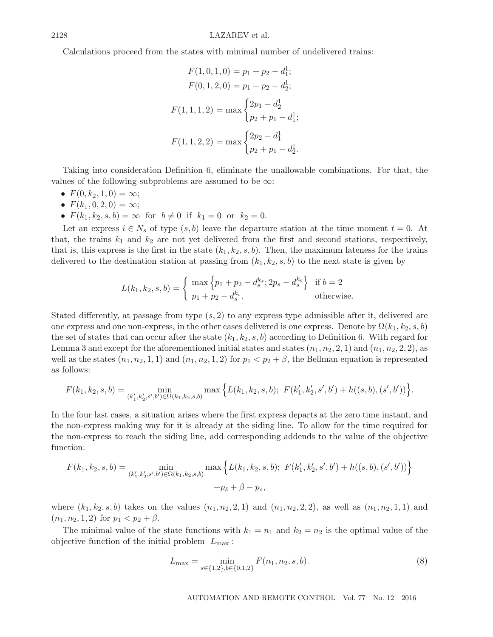Calculations proceed from the states with minimal number of undelivered trains:

$$
F(1,0,1,0) = p_1 + p_2 - d_1^1;
$$
  
\n
$$
F(0,1,2,0) = p_1 + p_2 - d_2^1;
$$
  
\n
$$
F(1,1,1,2) = \max \begin{cases} 2p_1 - d_2^1 \\ p_2 + p_1 - d_1^1; \end{cases}
$$
  
\n
$$
F(1,1,2,2) = \max \begin{cases} 2p_2 - d_1^1 \\ p_2 + p_1 - d_2^1. \end{cases}
$$

Taking into consideration Definition 6, eliminate the unallowable combinations. For that, the values of the following subproblems are assumed to be  $\infty$ :

- $F(0, k_2, 1, 0) = \infty;$
- $F(k_1, 0, 2, 0) = \infty;$
- $F(k_1, k_2, s, b) = \infty$  for  $b \neq 0$  if  $k_1 = 0$  or  $k_2 = 0$ .

Let an express  $i \in N_s$  of type  $(s, b)$  leave the departure station at the time moment  $t = 0$ . At that, the trains  $k_1$  and  $k_2$  are not yet delivered from the first and second stations, respectively, that is, this express is the first in the state  $(k_1, k_2, s, b)$ . Then, the maximum lateness for the trains delivered to the destination station at passing from  $(k_1, k_2, s, b)$  to the next state is given by

$$
L(k_1, k_2, s, b) = \begin{cases} \max \left\{ p_1 + p_2 - d_s^{k_s}; 2p_s - d_{\bar{s}}^{k_{\bar{s}}} \right\} & \text{if } b = 2\\ p_1 + p_2 - d_s^{k_s}, & \text{otherwise.} \end{cases}
$$

Stated differently, at passage from type  $(s, 2)$  to any express type admissible after it, delivered are one express and one non-express, in the other cases delivered is one express. Denote by  $\Omega(k_1, k_2, s, b)$ the set of states that can occur after the state  $(k_1, k_2, s, b)$  according to Definition 6. With regard for Lemma 3 and except for the aforementioned initial states and states  $(n_1, n_2, 2, 1)$  and  $(n_1, n_2, 2, 2)$ , as well as the states  $(n_1, n_2, 1, 1)$  and  $(n_1, n_2, 1, 2)$  for  $p_1 < p_2 + \beta$ , the Bellman equation is represented as follows:

$$
F(k_1, k_2, s, b) = \min_{(k'_1, k'_2, s', b') \in \Omega(k_1, k_2, s, b)} \max \Big\{ L(k_1, k_2, s, b); \ F(k'_1, k'_2, s', b') + h((s, b), (s', b')) \Big\}.
$$

In the four last cases, a situation arises where the first express departs at the zero time instant, and the non-express making way for it is already at the siding line. To allow for the time required for the non-express to reach the siding line, add corresponding addends to the value of the objective function:

$$
F(k_1, k_2, s, b) = \min_{(k'_1, k'_2, s', b') \in \Omega(k_1, k_2, s, b)} \max \left\{ L(k_1, k_2, s, b); F(k'_1, k'_2, s', b') + h((s, b), (s', b')) \right\}
$$
  
+ $p_{\bar{s}} + \beta - p_s,$ 

where  $(k_1, k_2, s, b)$  takes on the values  $(n_1, n_2, 2, 1)$  and  $(n_1, n_2, 2, 2)$ , as well as  $(n_1, n_2, 1, 1)$  and  $(n_1, n_2, 1, 2)$  for  $p_1 < p_2 + \beta$ .

The minimal value of the state functions with  $k_1 = n_1$  and  $k_2 = n_2$  is the optimal value of the objective function of the initial problem  $L_{\text{max}}$ :

$$
L_{\max} = \min_{s \in \{1,2\}, b \in \{0,1,2\}} F(n_1, n_2, s, b).
$$
\n(8)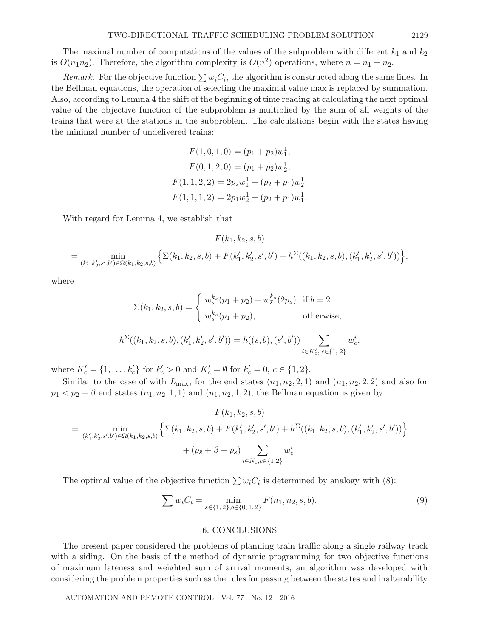The maximal number of computations of the values of the subproblem with different  $k_1$  and  $k_2$ is  $O(n_1n_2)$ . Therefore, the algorithm complexity is  $O(n^2)$  operations, where  $n = n_1 + n_2$ .

*Remark.* For the objective function  $\sum w_i C_i$ , the algorithm is constructed along the same lines. In the Bellman equations, the operation of selecting the maximal value max is replaced by summation. Also, according to Lemma 4 the shift of the beginning of time reading at calculating the next optimal value of the objective function of the subproblem is multiplied by the sum of all weights of the trains that were at the stations in the subproblem. The calculations begin with the states having the minimal number of undelivered trains:

$$
F(1,0,1,0) = (p_1 + p_2)w_1^1;
$$
  
\n
$$
F(0,1,2,0) = (p_1 + p_2)w_2^1;
$$
  
\n
$$
F(1,1,2,2) = 2p_2w_1^1 + (p_2 + p_1)w_2^1;
$$
  
\n
$$
F(1,1,1,2) = 2p_1w_2^1 + (p_2 + p_1)w_1^1.
$$

With regard for Lemma 4, we establish that

$$
F(k_1, k_2, s, b)
$$
  
= 
$$
\min_{(k'_1, k'_2, s', b') \in \Omega(k_1, k_2, s, b)} \left\{ \Sigma(k_1, k_2, s, b) + F(k'_1, k'_2, s', b') + h^{\Sigma}((k_1, k_2, s, b), (k'_1, k'_2, s', b')) \right\},
$$

where

$$
\Sigma(k_1, k_2, s, b) = \begin{cases} w_s^{k_s}(p_1 + p_2) + w_s^{k_s}(2p_s) & \text{if } b = 2\\ w_s^{k_s}(p_1 + p_2), & \text{otherwise,} \end{cases}
$$

$$
h^{\Sigma}((k_1, k_2, s, b), (k_1', k_2', s', b')) = h((s, b), (s', b')) \sum_{i \in K_c', c \in \{1, 2\}} w_c^i,
$$

where  $K'_{c} = \{1, ..., k'_{c}\}$  for  $k'_{c} > 0$  and  $K'_{c} = \emptyset$  for  $k'_{c} = 0, c \in \{1, 2\}.$ 

Similar to the case of with  $L_{\text{max}}$ , for the end states  $(n_1, n_2, 2, 1)$  and  $(n_1, n_2, 2, 2)$  and also for  $p_1 < p_2 + \beta$  end states  $(n_1, n_2, 1, 1)$  and  $(n_1, n_2, 1, 2)$ , the Bellman equation is given by

$$
F(k_1, k_2, s, b)
$$
  
= 
$$
\min_{(k'_1, k'_2, s', b') \in \Omega(k_1, k_2, s, b)} \left\{ \Sigma(k_1, k_2, s, b) + F(k'_1, k'_2, s', b') + h^{\Sigma}((k_1, k_2, s, b), (k'_1, k'_2, s', b')) \right\}
$$
  
+ 
$$
(p_{\bar{s}} + \beta - p_s) \sum_{i \in N_c, c \in \{1, 2\}} w_c^i.
$$

The optimal value of the objective function  $\sum w_iC_i$  is determined by analogy with (8):

$$
\sum w_i C_i = \min_{s \in \{1, 2\}, b \in \{0, 1, 2\}} F(n_1, n_2, s, b).
$$
\n(9)

## 6. CONCLUSIONS

The present paper considered the problems of planning train traffic along a single railway track with a siding. On the basis of the method of dynamic programming for two objective functions of maximum lateness and weighted sum of arrival moments, an algorithm was developed with considering the problem properties such as the rules for passing between the states and inalterability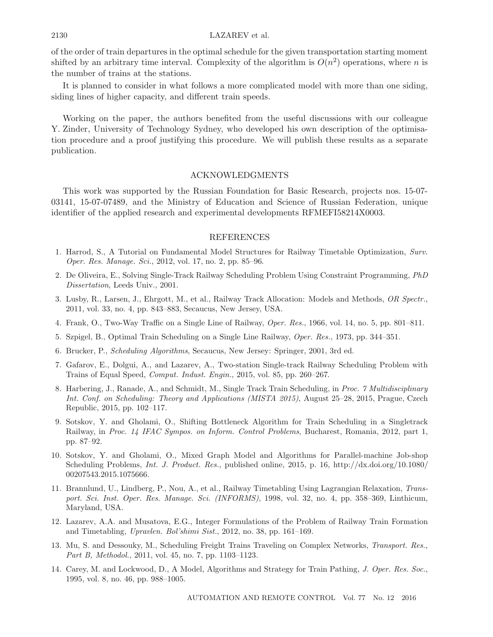of the order of train departures in the optimal schedule for the given transportation starting moment shifted by an arbitrary time interval. Complexity of the algorithm is  $O(n^2)$  operations, where n is the number of trains at the stations.

It is planned to consider in what follows a more complicated model with more than one siding, siding lines of higher capacity, and different train speeds.

Working on the paper, the authors benefited from the useful discussions with our colleague Y. Zinder, University of Technology Sydney, who developed his own description of the optimisation procedure and a proof justifying this procedure. We will publish these results as a separate publication.

#### ACKNOWLEDGMENTS

This work was supported by the Russian Foundation for Basic Research, projects nos. 15-07- 03141, 15-07-07489, and the Ministry of Education and Science of Russian Federation, unique identifier of the applied research and experimental developments RFMEFI58214X0003.

#### REFERENCES

- 1. Harrod, S., A Tutorial on Fundamental Model Structures for Railway Timetable Optimization, *Surv. Oper. Res. Manage. Sci.*, 2012, vol. 17, no. 2, pp. 85–96.
- 2. De Oliveira, E., Solving Single-Track Railway Scheduling Problem Using Constraint Programming, *PhD Dissertation*, Leeds Univ., 2001.
- 3. Lusby, R., Larsen, J., Ehrgott, M., et al., Railway Track Allocation: Models and Methods, *OR Spectr.*, 2011, vol. 33, no. 4, pp. 843–883, Secaucus, New Jersey, USA.
- 4. Frank, O., Two-Way Traffic on a Single Line of Railway, *Oper. Res.*, 1966, vol. 14, no. 5, pp. 801–811.
- 5. Szpigel, B., Optimal Train Scheduling on a Single Line Railway, *Oper. Res.*, 1973, pp. 344–351.
- 6. Brucker, P., *Scheduling Algorithms*, Secaucus, New Jersey: Springer, 2001, 3rd ed.
- 7. Gafarov, E., Dolgui, A., and Lazarev, A., Two-station Single-track Railway Scheduling Problem with Trains of Equal Speed, *Comput. Indust. Engin.*, 2015, vol. 85, pp. 260–267.
- 8. Harbering, J., Ranade, A., and Schmidt, M., Single Track Train Scheduling, in *Proc. 7 Multidisciplinary Int. Conf. on Scheduling: Theory and Applications (MISTA 2015)*, August 25–28, 2015, Prague, Czech Republic, 2015, pp. 102–117.
- 9. Sotskov, Y. and Gholami, O., Shifting Bottleneck Algorithm for Train Scheduling in a Singletrack Railway, in *Proc. 14 IFAC Sympos. on Inform. Control Problems*, Bucharest, Romania, 2012, part 1, pp. 87–92.
- 10. Sotskov, Y. and Gholami, O., Mixed Graph Model and Algorithms for Parallel-machine Job-shop Scheduling Problems, *Int. J. Product. Res.*, published online, 2015, p. 16, http://dx.doi.org/10.1080/ 00207543.2015.1075666.
- 11. Brannlund, U., Lindberg, P., Nou, A., et al., Railway Timetabling Using Lagrangian Relaxation, *Transport. Sci. Inst. Oper. Res. Manage. Sci. (INFORMS)*, 1998, vol. 32, no. 4, pp. 358–369, Linthicum, Maryland, USA.
- 12. Lazarev, A.A. and Musatova, E.G., Integer Formulations of the Problem of Railway Train Formation and Timetabling, *Upravlen. Bol'shimi Sist.*, 2012, no. 38, pp. 161–169.
- 13. Mu, S. and Dessouky, M., Scheduling Freight Trains Traveling on Complex Networks, *Transport. Res., Part B, Methodol.*, 2011, vol. 45, no. 7, pp. 1103–1123.
- 14. Carey, M. and Lockwood, D., A Model, Algorithms and Strategy for Train Pathing, *J. Oper. Res. Soc.*, 1995, vol. 8, no. 46, pp. 988–1005.